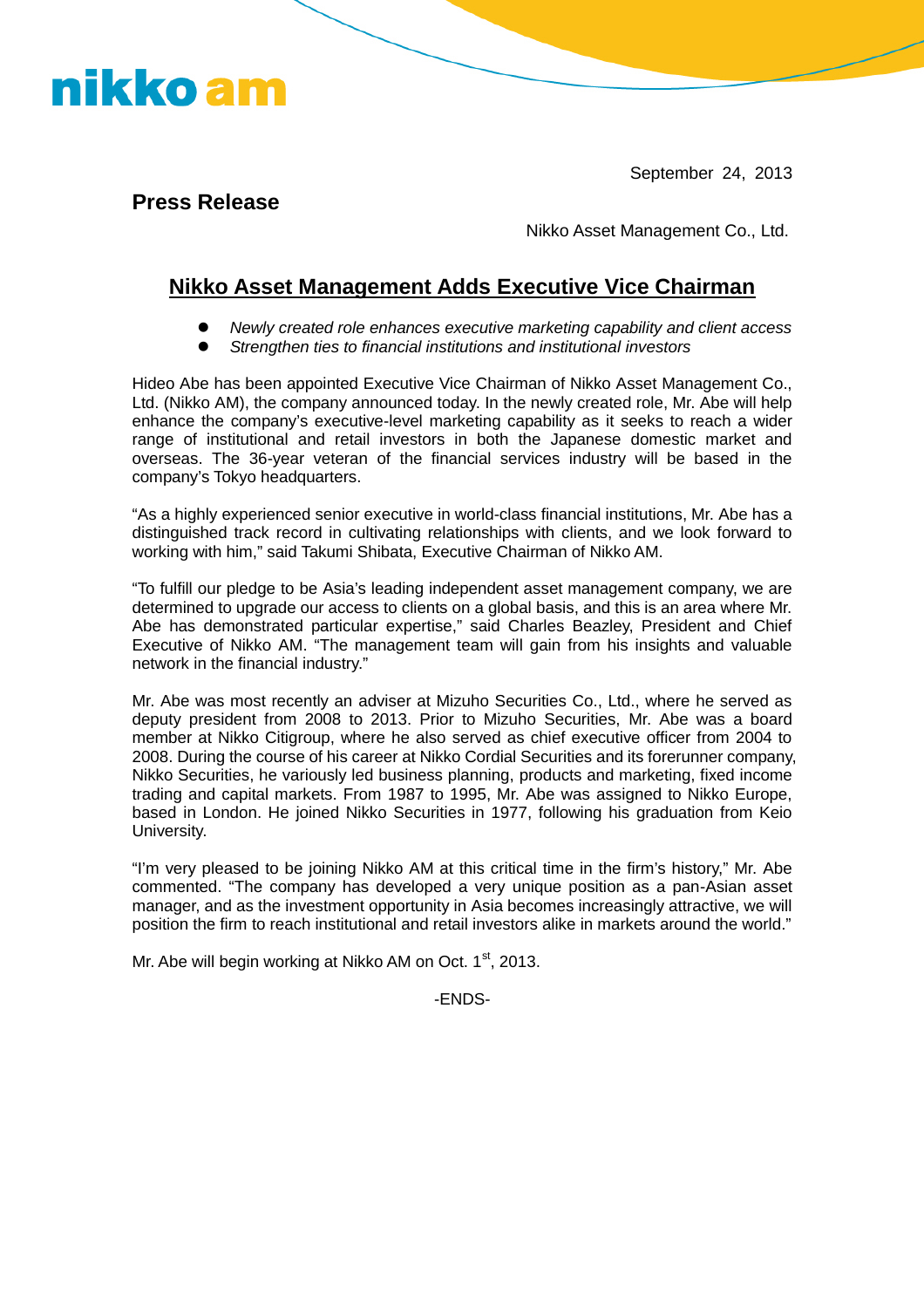September 24, 2013

**Press Release**

nikko am

Nikko Asset Management Co., Ltd.

## **Nikko Asset Management Adds Executive Vice Chairman**

- *Newly created role enhances executive marketing capability and client access*
- *Strengthen ties to financial institutions and institutional investors*

Hideo Abe has been appointed Executive Vice Chairman of Nikko Asset Management Co., Ltd. (Nikko AM), the company announced today. In the newly created role, Mr. Abe will help enhance the company's executive-level marketing capability as it seeks to reach a wider range of institutional and retail investors in both the Japanese domestic market and overseas. The 36-year veteran of the financial services industry will be based in the company's Tokyo headquarters.

"As a highly experienced senior executive in world-class financial institutions, Mr. Abe has a distinguished track record in cultivating relationships with clients, and we look forward to working with him," said Takumi Shibata, Executive Chairman of Nikko AM.

"To fulfill our pledge to be Asia's leading independent asset management company, we are determined to upgrade our access to clients on a global basis, and this is an area where Mr. Abe has demonstrated particular expertise," said Charles Beazley, President and Chief Executive of Nikko AM. "The management team will gain from his insights and valuable network in the financial industry."

Mr. Abe was most recently an adviser at Mizuho Securities Co., Ltd., where he served as deputy president from 2008 to 2013. Prior to Mizuho Securities, Mr. Abe was a board member at Nikko Citigroup, where he also served as chief executive officer from 2004 to 2008. During the course of his career at Nikko Cordial Securities and its forerunner company, Nikko Securities, he variously led business planning, products and marketing, fixed income trading and capital markets. From 1987 to 1995, Mr. Abe was assigned to Nikko Europe, based in London. He joined Nikko Securities in 1977, following his graduation from Keio University.

"I'm very pleased to be joining Nikko AM at this critical time in the firm's history," Mr. Abe commented. "The company has developed a very unique position as a pan-Asian asset manager, and as the investment opportunity in Asia becomes increasingly attractive, we will position the firm to reach institutional and retail investors alike in markets around the world."

Mr. Abe will begin working at Nikko AM on Oct.  $1<sup>st</sup>$ , 2013.

-ENDS-